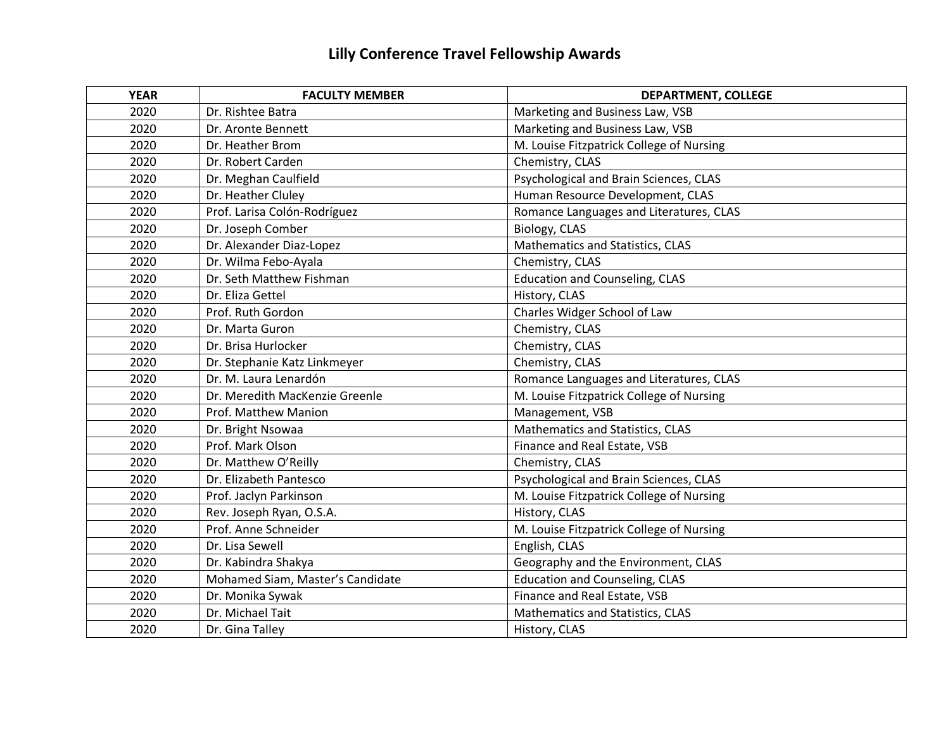## **Lilly Conference Travel Fellowship Awards**

| <b>YEAR</b> | <b>FACULTY MEMBER</b>            | <b>DEPARTMENT, COLLEGE</b>               |
|-------------|----------------------------------|------------------------------------------|
| 2020        | Dr. Rishtee Batra                | Marketing and Business Law, VSB          |
| 2020        | Dr. Aronte Bennett               | Marketing and Business Law, VSB          |
| 2020        | Dr. Heather Brom                 | M. Louise Fitzpatrick College of Nursing |
| 2020        | Dr. Robert Carden                | Chemistry, CLAS                          |
| 2020        | Dr. Meghan Caulfield             | Psychological and Brain Sciences, CLAS   |
| 2020        | Dr. Heather Cluley               | Human Resource Development, CLAS         |
| 2020        | Prof. Larisa Colón-Rodríguez     | Romance Languages and Literatures, CLAS  |
| 2020        | Dr. Joseph Comber                | Biology, CLAS                            |
| 2020        | Dr. Alexander Diaz-Lopez         | Mathematics and Statistics, CLAS         |
| 2020        | Dr. Wilma Febo-Ayala             | Chemistry, CLAS                          |
| 2020        | Dr. Seth Matthew Fishman         | <b>Education and Counseling, CLAS</b>    |
| 2020        | Dr. Eliza Gettel                 | History, CLAS                            |
| 2020        | Prof. Ruth Gordon                | Charles Widger School of Law             |
| 2020        | Dr. Marta Guron                  | Chemistry, CLAS                          |
| 2020        | Dr. Brisa Hurlocker              | Chemistry, CLAS                          |
| 2020        | Dr. Stephanie Katz Linkmeyer     | Chemistry, CLAS                          |
| 2020        | Dr. M. Laura Lenardón            | Romance Languages and Literatures, CLAS  |
| 2020        | Dr. Meredith MacKenzie Greenle   | M. Louise Fitzpatrick College of Nursing |
| 2020        | Prof. Matthew Manion             | Management, VSB                          |
| 2020        | Dr. Bright Nsowaa                | Mathematics and Statistics, CLAS         |
| 2020        | Prof. Mark Olson                 | Finance and Real Estate, VSB             |
| 2020        | Dr. Matthew O'Reilly             | Chemistry, CLAS                          |
| 2020        | Dr. Elizabeth Pantesco           | Psychological and Brain Sciences, CLAS   |
| 2020        | Prof. Jaclyn Parkinson           | M. Louise Fitzpatrick College of Nursing |
| 2020        | Rev. Joseph Ryan, O.S.A.         | History, CLAS                            |
| 2020        | Prof. Anne Schneider             | M. Louise Fitzpatrick College of Nursing |
| 2020        | Dr. Lisa Sewell                  | English, CLAS                            |
| 2020        | Dr. Kabindra Shakya              | Geography and the Environment, CLAS      |
| 2020        | Mohamed Siam, Master's Candidate | <b>Education and Counseling, CLAS</b>    |
| 2020        | Dr. Monika Sywak                 | Finance and Real Estate, VSB             |
| 2020        | Dr. Michael Tait                 | Mathematics and Statistics, CLAS         |
| 2020        | Dr. Gina Talley                  | History, CLAS                            |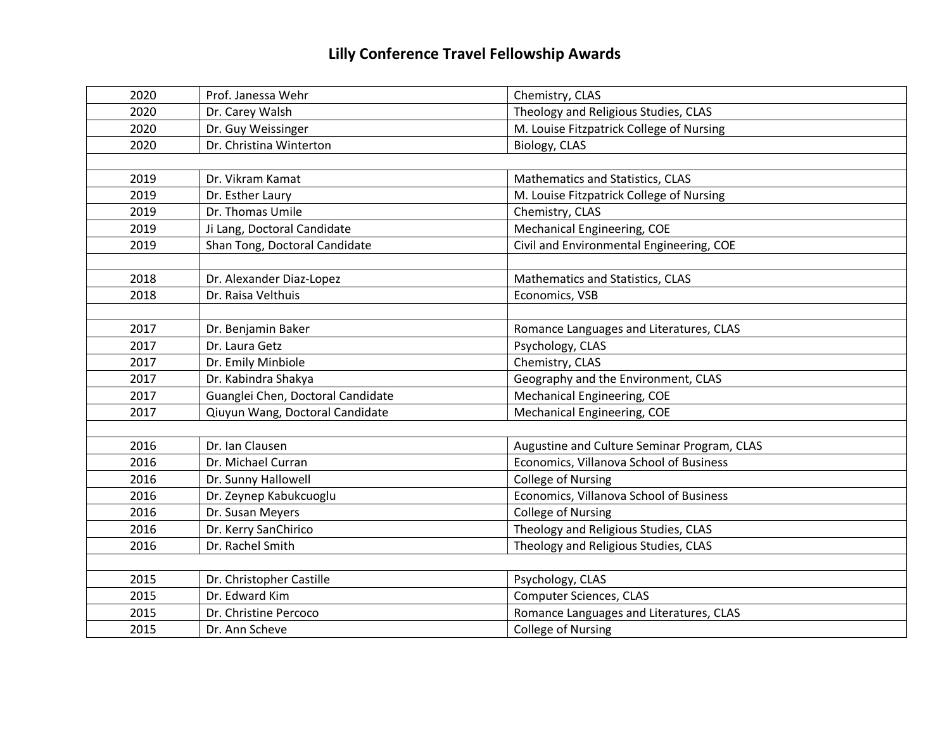## **Lilly Conference Travel Fellowship Awards**

| 2020 | Prof. Janessa Wehr                | Chemistry, CLAS                             |
|------|-----------------------------------|---------------------------------------------|
| 2020 | Dr. Carey Walsh                   | Theology and Religious Studies, CLAS        |
| 2020 | Dr. Guy Weissinger                | M. Louise Fitzpatrick College of Nursing    |
| 2020 | Dr. Christina Winterton           | Biology, CLAS                               |
|      |                                   |                                             |
| 2019 | Dr. Vikram Kamat                  | Mathematics and Statistics, CLAS            |
| 2019 | Dr. Esther Laury                  | M. Louise Fitzpatrick College of Nursing    |
| 2019 | Dr. Thomas Umile                  | Chemistry, CLAS                             |
| 2019 | Ji Lang, Doctoral Candidate       | Mechanical Engineering, COE                 |
| 2019 | Shan Tong, Doctoral Candidate     | Civil and Environmental Engineering, COE    |
|      |                                   |                                             |
| 2018 | Dr. Alexander Diaz-Lopez          | Mathematics and Statistics, CLAS            |
| 2018 | Dr. Raisa Velthuis                | Economics, VSB                              |
|      |                                   |                                             |
| 2017 | Dr. Benjamin Baker                | Romance Languages and Literatures, CLAS     |
| 2017 | Dr. Laura Getz                    | Psychology, CLAS                            |
| 2017 | Dr. Emily Minbiole                | Chemistry, CLAS                             |
| 2017 | Dr. Kabindra Shakya               | Geography and the Environment, CLAS         |
| 2017 | Guanglei Chen, Doctoral Candidate | Mechanical Engineering, COE                 |
| 2017 | Qiuyun Wang, Doctoral Candidate   | Mechanical Engineering, COE                 |
|      |                                   |                                             |
| 2016 | Dr. Ian Clausen                   | Augustine and Culture Seminar Program, CLAS |
| 2016 | Dr. Michael Curran                | Economics, Villanova School of Business     |
| 2016 | Dr. Sunny Hallowell               | <b>College of Nursing</b>                   |
| 2016 | Dr. Zeynep Kabukcuoglu            | Economics, Villanova School of Business     |
| 2016 | Dr. Susan Meyers                  | <b>College of Nursing</b>                   |
| 2016 | Dr. Kerry SanChirico              | Theology and Religious Studies, CLAS        |
| 2016 | Dr. Rachel Smith                  | Theology and Religious Studies, CLAS        |
|      |                                   |                                             |
| 2015 | Dr. Christopher Castille          | Psychology, CLAS                            |
| 2015 | Dr. Edward Kim                    | <b>Computer Sciences, CLAS</b>              |
| 2015 | Dr. Christine Percoco             | Romance Languages and Literatures, CLAS     |
| 2015 | Dr. Ann Scheve                    | <b>College of Nursing</b>                   |